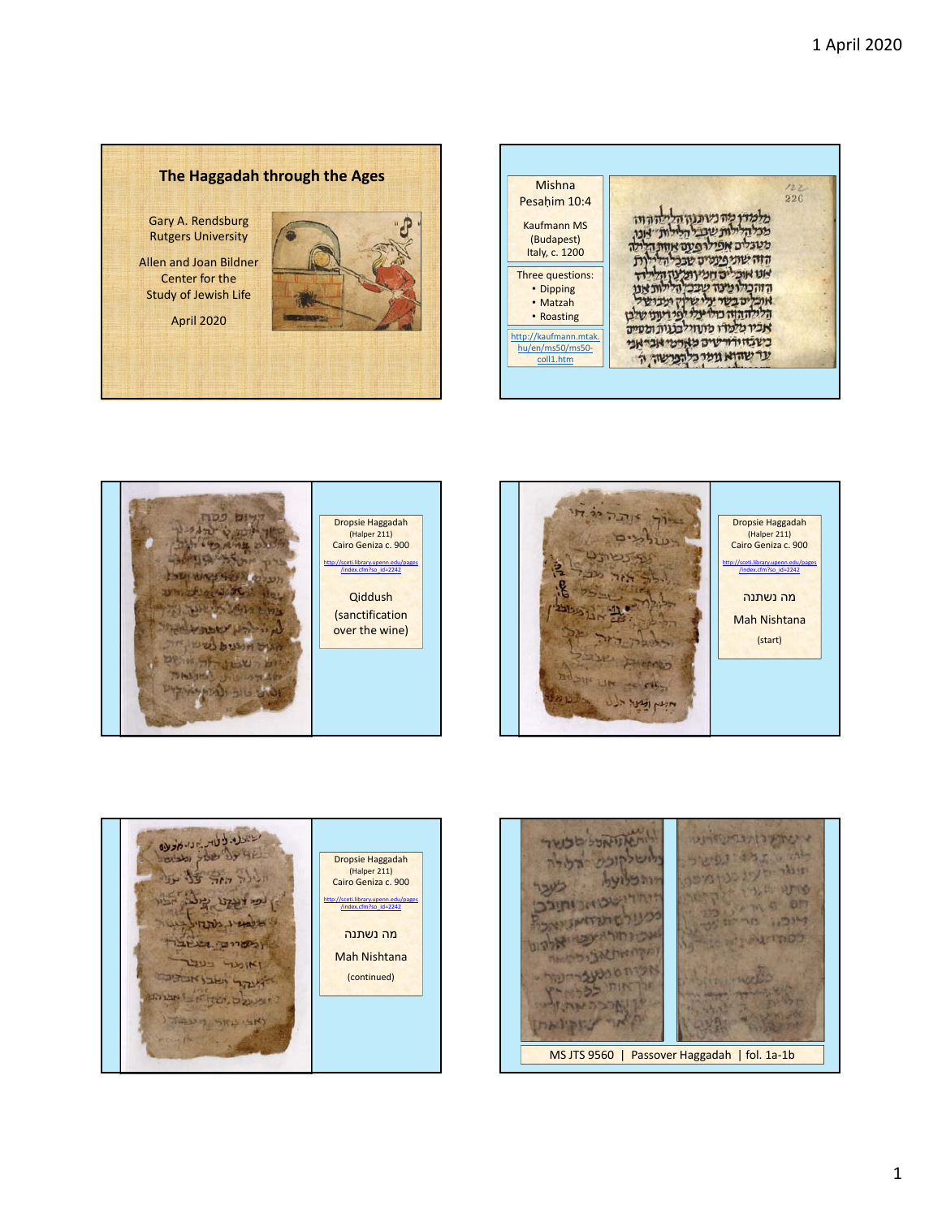226 Pesaḥim 10:4 מלמדו מה בשונות הללה הוה<br>מכלה לאת שבל הללות "צנו,<br>משגלים אפילו פעם אוות הללה<br>הוה שוני פעמים שבל הללות<br>הוה שוני פעלים שבל הללות<br>אומית של יש על שלון ומכי של<br>אומית של יש על ידי של היה את היא של<br>אומית של יש על ידי של יש שלו Kaufmann MS (Budapest) Italy, c. 1200 Three questions: • Dipping • Matzah • Roasting http://kaufmann.mtak. בשבחורורשים מארמי אבראני hu/en/ms50/ms50‐ עד שהוא גומר כלהפרשה ה coll1.htm

## **The Haggadah through the Ages** Mishna

Gary A. Rendsburg Rutgers University

Allen and Joan Bildner Center for the Study of Jewish Life

April 2020







לוהאזואלל מטור WAREHOUSE ליה בלגונסטר חימר העינ מנומיפה הוה כלועל לעבר החרישני והודב מטעל שתואיתו ואת איכו חירו אפשר ואלה וני Learn Burroot ומקחומת אביפהאה אינות מטעברישה THE MOSED POMOS DINTS יון אוכבה את א DATE LITTLE MS JTS 9560 | Passover Haggadah | fol. 1a‐1b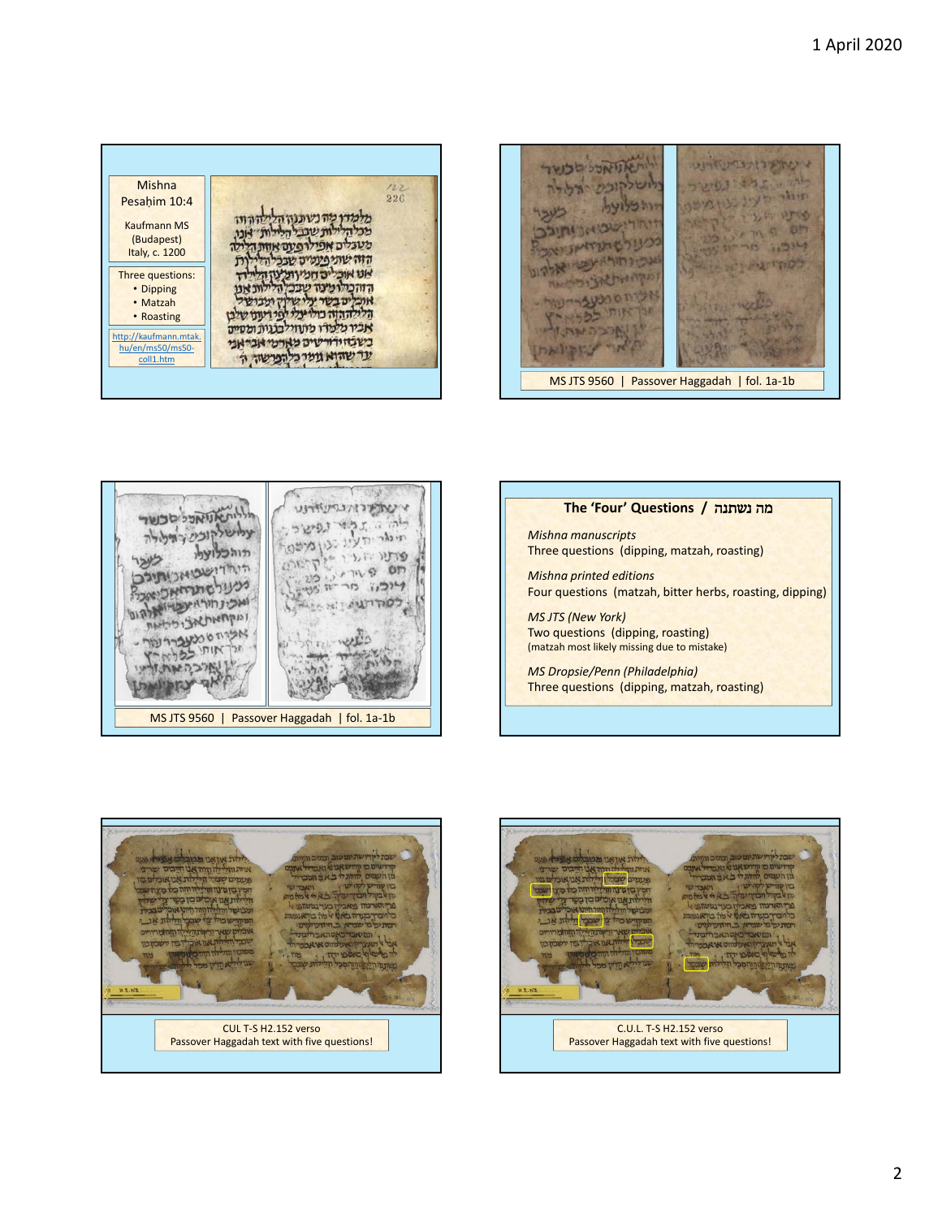









**The 'Four' Questions /** נשתנה מה

Mishna 226 Pesaḥim 10:4 מלמדן מה נשתנון הלילה הוו.<br>מכל הלילות שבל הלילות "אנו, Kaufmann MS (Budapest) מטבלים אפילו פעם אוות הל Italy, c. 1200 הזה שתיפעטים שבכי הל  $\ddot{\mathbf{n}}$ אנו אוכלים חמיות לון הלילד<br>הזהכיו מינה שבכלה לות אנו<br>אוכלים בשר על שלון ועבושל<br>הלילה הוה כול על לפי רענו של Three questions: • Dipping • Matzah • Roasting אביו מלמדו מתחיל בנות ומסיים http://kaufmann.mtak. בשבחירורשים מארמי אבראני hu/en/ms50/ms50‐ עד שהוא גומר כלהפרשה ה coll1.htm

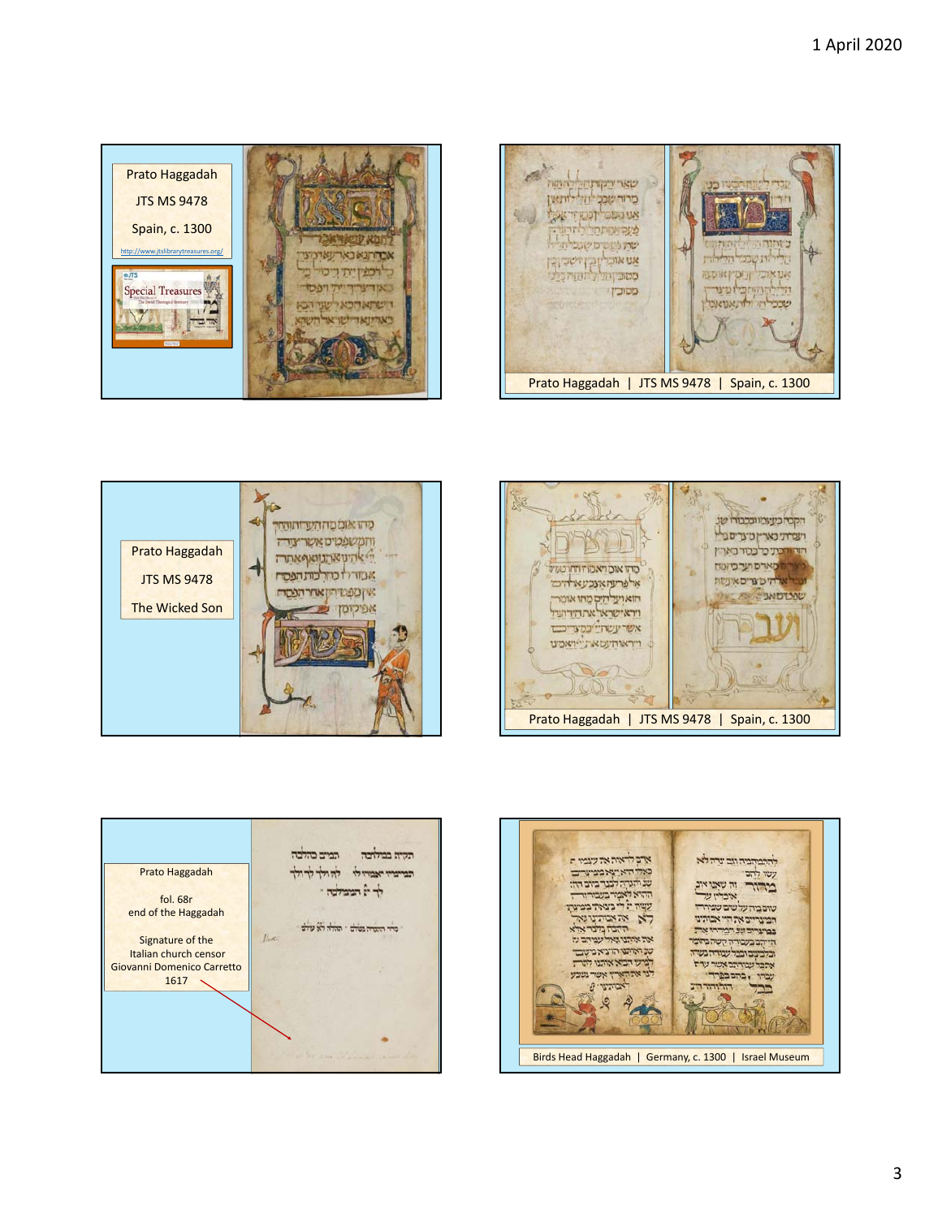









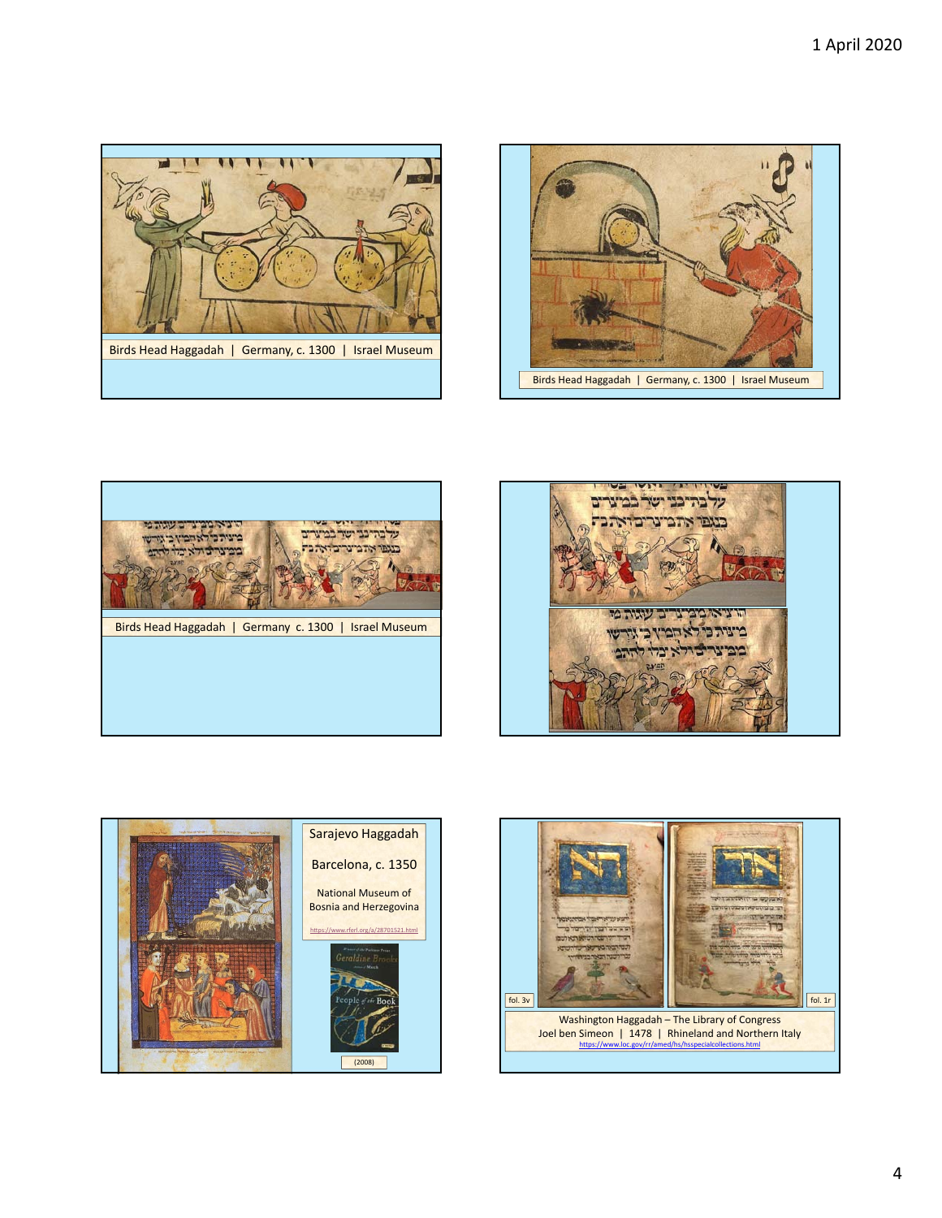